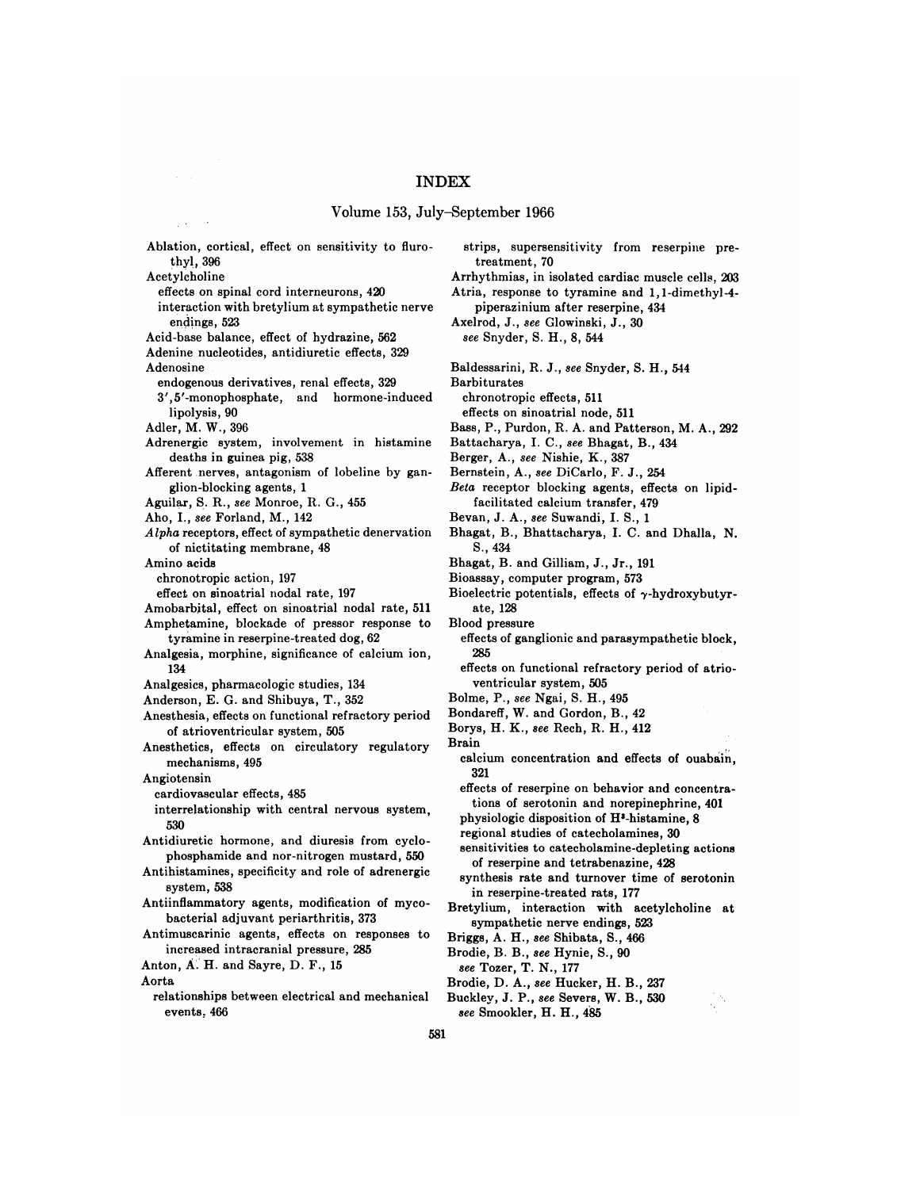## Volume 153, July—September 1966

Ablation, cortical, effect on sensitivity to fluro thyl, 396 Acetylcholine **effects on spinal cord interneurons, 420** interaction with bretylium at sympathetic nerve **endings, 523** Acid-base balance, effect of hydrazine, 562 Adenine nucleotides, antidiuretic effects, 329 Adenosine endogenous derivatives, renal effects, 329 3' ,5'-monophosphate, and hormone-induced lipolysis, 90 Adler, M. W., 396 Adrenergic system, involvement in histamine deaths in guinea pig, 538 Afferent nerves, antagonism of lobeline by gan glion-blocking agents, 1 Aguilar, S. R., see Monroe, R. G., 455 Aho, I., see Forland, M., 142 *Alpha receptors, effect of sympathetic denervation* of nictitating membrane, 48 Amino acids chronotropic action, 197 effect on sinoatrial nodal rate, 197 Amobarbital, effect on sinoatrial nodal rate, 511 Amphetamine, blockade of pressor response to tyramine in reserpine-treated dog, 62 Analgesia, morphine, significance of calcium ion, 134 Analgesics, pharmacologic studies, 134 Anderson, E. G. and Shibuya, T., 352 Anesthesia, effects on functional refractory period of atrioventricular system, 505 Anesthetics, effects on circulatory regulatory mechanisms, 495 Angiotensin cardiovascular effects, 485 interrelationship with central nervous system, 530 Antidiuretic hormone, and diuresis from cyclo **phosphamide and nor-nitrogen mustard, 550** Antihistamines, specificity and role of adrenergic system, 538 Antiinflammatory agents, modification of myco bacterial adjuvant periarthritis, 373 Antimuscarinic agents, effects on responses to increased intracranial pressure, 285 Anton, A. H. and Sayre, D. F., 15 Aorta

relationships between electrical and mechanical Buckley, J. P., see Severs, W. B., 530 events,466

strips, supersensitivity from reserpine pretreatment, 70

Arrhythmias, in isolated cardiac muscle cells, 203 Atria, response to tyramine and 1, 1-dimethyl-4-

piperazinium after reserpine, 434 Axelrod, J., see Glowinski, J., 30 *see Snyder, S. H., 8, 544*

- 
- Baldessarini, R. J., see Snyder, S. H., 544

Barbiturates

chronotropic effects, 511

effects on sinoatrial node, 511

- Bass, P., Purdon, R. A. and Patterson, M. A., 292
- Battacharya, I. C., see Bhagat, B., 434

Berger, A., see Nishie, K., 387

- Bernstein, A., see DiCarlo, F. J., 254
- *Bela receptor blocking agents, effects on lipid* facilitated calcium transfer, 479
- **Bevan, J. A., see Suwandi, I. S., 1**
- Bhagat, B., Bhattacharya, I. C. and Dhalla, N. S., 434
- Bhagat, B. and Gilliam, J., Jr., 191
- Bioassay, computer program, 573
- Bioelectric potentials, effects of  $\gamma$ -hydroxybutyrate, 128 Blood pressure
- 
- **effects of ganglionic and parasympathetic block,** 285

effects on functional refractory period of atrio ventricular system, 505

**Bolme, P., see Ngai, S. H., 495**

Bondareff, W. and Gordon, B., 42

- Borys, H. K., see Rech, R. H., 412
- Brain
- calcium concentration and effects of ouabain, **321**

effects of reserpine on behavior and concentra tions of serotonin and norepinephrine, 401 physiologic disposition of H3-histamine, 8

regional studies of catecholamines, 30

sensitivities to catecholamine-depleting actions of reserpine and tetrabenazine, 428

- synthesis rate and turnover time of serotonin in reserpine-treated rats, 177
- Bretylium, interaction with acetyicholine at **sympathetic nerve endings, 523**

Briggs, A. H., see Shibata, S., 466

Brodie, B. B., see Hynie, S., 90

see Tozer, T. N., 177

- Brodie, D. A., see Hucker, H. B., 237
- 
- *see Smookler, H. H., 485*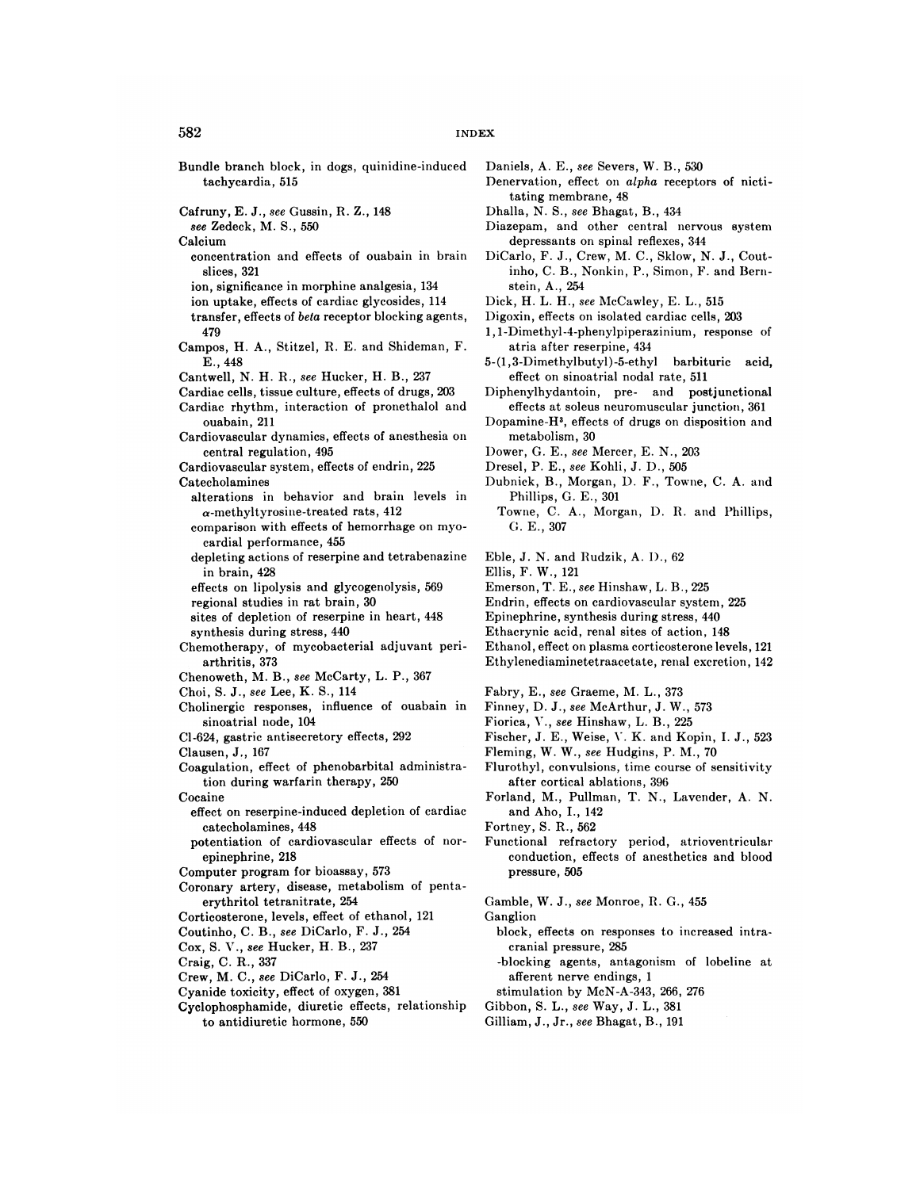- Bundle branch block, in dogs, quinidine-induced tachycardia, 515
- Cafruny, E. J., see Gussin, R. Z., 148

*see Zedeck, M. S., 550*

Calcium

- concentration and effects of ouabain in brain slices, 321
- **ion, significance in morphine analgesia, 134**

**ion uptake, effects of cardiac glycosides, 114**

- transfer, effects of beta receptor blocking agents, 479
- Campos, H. A., Stitzel, R. E. and Shideman, F. E., 448
- Cantwell, N. H. R., see Hucker, H. B., 237
- Cardiac cells, tissue culture, effects of drugs, 203 Cardiac rhythm, interaction of pronethalol and
- ouabain, 211
- Cardiovascular dynamics, effects of anesthesia on central regulation, 495
- Cardiovascular system, effects of endrin, 225 Catecholamines
	- alterations in behavior and brain levels in  $\alpha$ -methyltyrosine-treated rats, 412
	- comparison with effects of hemorrhage on myo cardial performance, 455
	- depleting actions of reserpine and tetrabenazine in brain, 428
	- effects on lipolysis and glycogenolysis, 569 **regional studies in rat brain, 30**
- sites of depletion of reserpine in heart, 448 synthesis during stress, 440
- Chemotherapy, of mycobacterial adjuvant pen arthritis, 373
- Chenoweth, M. B., see McCarty, L. P., 367
- Choi, S. J., see Lee, K. S., 114
- Cholinergic responses, influence of ouabain in sinoatrial node, 104
- Cl-624, gastric antisecretony effects, 292
- Clausen, J,, 167
- Coagulation, effect of phenobarbital administra tion during warfarin therapy, 250

Cocaine

- effect on resenpine-induced depletion of cardiac catecholamines, 448
- potentiation of cardiovascular effects of nor epinephrine, 218
- Computer program for bioassay, 573
- Coronary artery, disease, metabolism of penta erythritol tetranitrate, 254
- Corticosterone, levels, effect of ethanol, 121
- Coutinho, C. B., see DiCarlo, F. J., 254
- Cox, S. V., see Hucker, H. B., 237
- Craig, C. R., 337
- Crew, M. C., see DiCarlo, F. J., 254
- Cyanide toxicity, effect of oxygen, 381
- Cyclophosphamide, diuretic effects, relationship to antidiuretic hormone, 550
- Daniels, A. E., see Severs, W. B., 530
- Denervation, effect on alpha receptors of nicti tating membrane, 48
- Dhalla, N. S., see Bhagat, B., 434
- **Diazepam, and other central nervous system** depressants on spinal reflexes, 344
- DiCarlo, F. J., Crew, M. C., Skiow, N. J., Cout inho, C. B., Nonkin, P., Simon, F. and Bern stein, A., 254
- Dick, H. L. H., see McCawley, E. L., 515
- Digoxin, effects on isolated cardiac cells, 203
- 1, 1-Dimethyl-4-phenylpiperaziniurn, response of atria after reserpine, 434
- 5-(1 ,3-Dimethylbutyl)-5-ethyl barbituric acid, effect on sinoatrial nodal rate, 511
- Diphenylhydantoin, pre- and postjunctional effects at soleus neuromuscular junction, 361
- Dopamine-H', effects of drugs on disposition and metabolism, 30
- Dower, G. E., see Mercer, E. N., 203
- Dresel, P. E., see Kohli, J. D., 505
- Dubnick, B., Morgan, D. F., Towne, C. A. and Phillips, G. E., 301
- Towne, C. A., Morgan, I). R. and Phillips, C. E., 307
- Eble, J. N. and Rudzik, A. I)., 62
- Ellis, F. W., 121
- Emerson, T. E., see Hinshaw, L. B., 225
- Endrin, effects on cardiovascular system, 225
- Epinephrine, synthesis during stress, 440
- Ethacrynic acid, renal sites of action, 148
- Ethanol, effect on plasma corticosterone levels, 121
- Ethylenediaminetetraacetate, renal excretion, 142
- Fabry, E., see Graeme, M. L., 373
- Finney, D. J., see McArthur, J. W., 573
- Fiorica, V., see Hinshaw, L. B., 225
- Fischer, J. E., Weise, V. K. and Kopin, I. J., 523
- Fleming, W. W., see Hudgins, P. M., 70
- Flurothyl, convulsions, time course of sensitivity after cortical ablations, 396
- Forland, M., Pullman, T. N., Lavender, A. N. and Aho, I., 142
- Fortney, S. R., 562
- Functional refractory period, atrioventricular conduction, effects of anesthetics and blood pressure, 505
- Gamble, W. J., see Monroe, R. G., 455

Ganglion

- block, effects on responses to increased intra cranial pressure, 285
- -blocking agents, antagonism of lobeline at afferent nerve endings, 1
- stimulation by McN-A-343, 266, 276
- Gibbon, S. L., see Way, J. L., 381
- Gilliam, J., Jr., see Bhagat, B., 191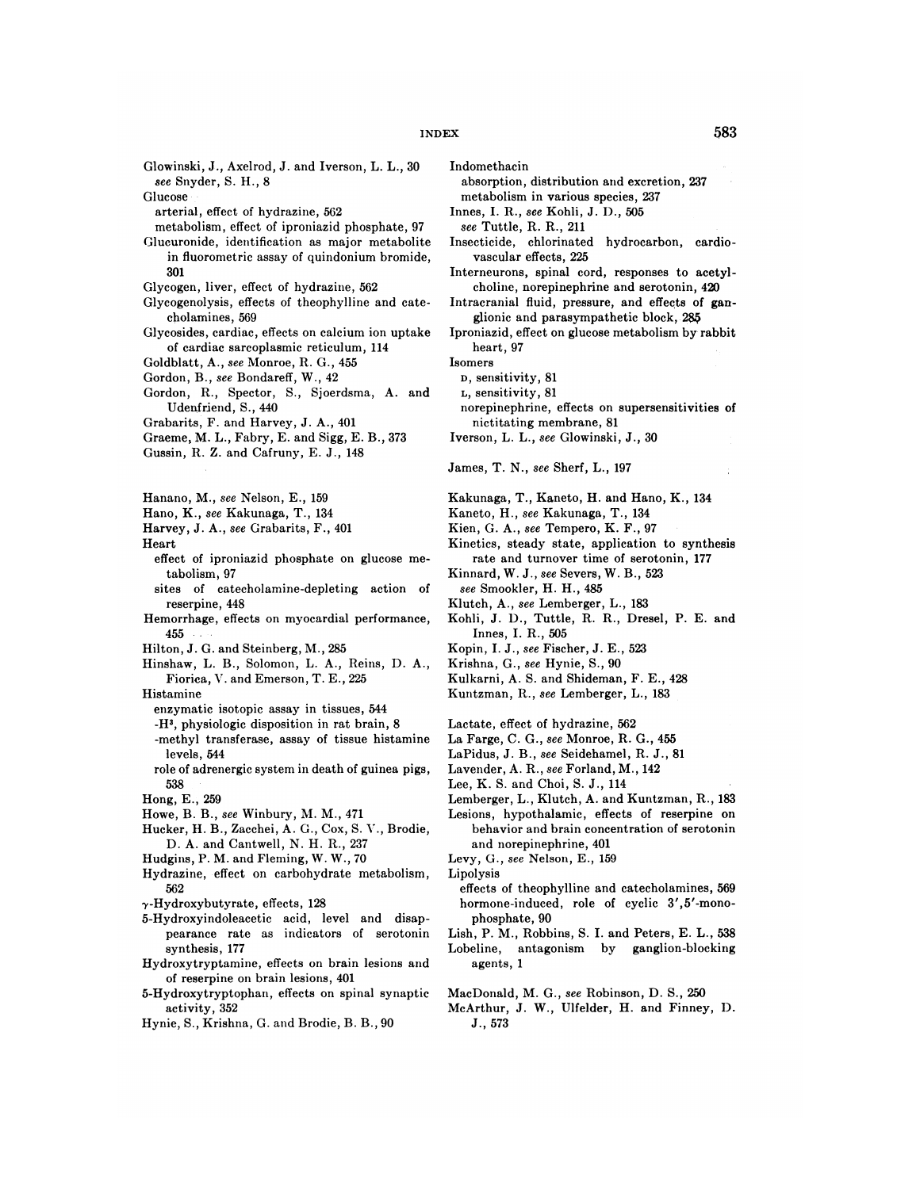- Glowinski, J., Axelrod, J. and Iverson, L. L., 30
- 

**formulate in the effect** of hydrazine,  $562$  **innes,** I. R., see Kohli, J. D.,  $505$ 

- *211*Glucuron Effect of iproniazid phosphate, 97 see Tuttle, R. R., 211
- in fluorometric assay of quindonium bromide, vascular effects, 225 301
- 
- cholamines, 569 cholamines, 569 cholamines, 569 cholamines, 569 cholamines, 569 cholamines, 569 cholamines, 569
- of cardiac sarcoplasmic reticulum, 114
- Goldblatt, A., see Monroe, R. G., 455
- Gordon, B., see Bondareff, W., 42
- Gordon, R., Spector, S., Sjoerdsma, A. and Udenfriend, S., 440 **norepinephrine**, effects on supersensitivities of
- Grabarits, F. and Harvey, J. A., 401 nictitating membrane, 81
- Graeme, M. L., Fabry, E. and Sigg, E. B., 373 Iverson, L. L., see Glowinski, J., 30
- Gussin, R. Z. and Cafruny, E. J., 148
- 
- Hano, K., see Kakunaga, T., 134 Kaneto, H., see Kakunaga, T., 134
- Harvey, J. A., see Grabarits, F., 401 Kien, G. A., see Tempero, K. F., 97

- effect of iproniazid phosphate on glucose me- rate and turnover time of serotonin, 177
- 523sites 97Kinnard, W. J., see Severs, W. B.,  $sites$  of catecholamine-depleting action of **183** Exterpine, 448 **External External External External External Extending Extending Solution**, A., see Lemberger, L., 183
- Hemorrhage, effects on myocardial performance, Kohli, J. D., Tuttle, R. R., Dresel, P. E. and **505 1055 1055 1055 1055 1055 1055 1055 1055 1055 1055 1055 1055**
- Hilton, J. G. and Steinberg, M., 285 Kopin, I. J., see Fischer, J. E., 523
- Hinshaw, L. B., Solomon, L. A., Reins, D. A., Krishna, G., see Hynie, S., 90 Fiorica, V. and Emerson, T. E., 225 Kulkarni, A. S. and Shideman, F. E., 428
- - enzymatic isotopic assay in tissues, 544
	- 562-methyl **physiologic disposition in ratbrain, 8Lactate,** effect of hydrazine,
	- levels, 544 LaPidus, J. B., see Seidehamel, R. J., 81
	- role of adrenergic system in death of guinea pigs, Lavender, A. R., see Forland, M., 142 114 **114 1238 124 124 124 124 124 124 124 124 124 124 124 124 124 124 124 124 124 124 124 124 124 124 124 124 124 124 124 124 124 124 124 124 124 124**
- 
- 
- D. A. and Cantwell, N. H. R., 237 and norepinephrine, 401
- Hudgins, P. M. and Fleming, W. W., 70 Levy, G., see Nelson, E., 159
- Hydrazine, effect on carbohydrate metabolism,
- 
- 5-Hydroxyindoleacetic acid, level and disap- phosphate, 90
- Hydroxytryptamine, effects on brain lesions and agents, 1 of reserpine on brain lesions, 401
- 5-Hydroxytryptophan, effects on spinal synaptic MacDonald, M. G., see Robinson, D. S., 250
- Hynie, S., Krishna, G. and Brodie, B. B., 90 J., 573

Indomethacin

237Glucosemetabolism *Snyder, S. H., 8absorption,* distribution and excretion, 237 and 237 and 237 and 237 and 237 and 237 and 237 and 237 and 237 and 237 and 237 and 237 and 237 and 237 and 237 and 237 and 237 and 237 and 237 and 237 and 237 and 237 and 238 and 238 and 238 and 238 and 238 and 238 an

- 
- Glucuronide, identification as major metabolite Insecticide, chlorinated hydrocarbon, cardio-
- **spinal cord, responses to acetyl** Glycogen, liver, effect of hydrazine, 562 choline, norepinephrine and serotonin, 420 Glycogenolysis, effects of theophylline and cate-<br>Intracranial fluid, pressure, and effects of ga
	- Intracranial fluid, pressure, and effects of gan-
- Glycosides, cardiac, effects on calcium ion uptake Iproniazid, effect on glucose metabolism by rabbit heart, 97
	- Isomers
		- **D, sensitivity, 81**
		- **L, sensitivity, 81**
	-
	-

 $James, T. N., see Sherf, L., 197$ 

- Hanano, M., see Nelson, E., 159 Kakunaga, T., Kaneto, H. and Hano, K., 134
	-
	-
- Heart Kinetics, steady state, application to synthesis
	-
	-
	-
	-
	-
	-
	-
- Histamine Kuntzman, R., see Lemberger, L., 183
	-
	- -methyl transferase, assay of tissue histamine La Farge, C. G., see Monroe, R. G., 455
		-
		-
		-
- Hong, E., 259 **Lemberger, L., Klutch, A. and Kuntzman, R., 183** Howe, B. B., see Winbury, M. M., 471 Lesions, hypothalamic, effects of reserpine on Hucker, H. B., Zacchei, A. G., Cox, S. V., Brodie, behavior and brain concentration of serotonin
	-
	- Lipolysis
- 562 effects of theophylline and catecholamines, 569  $\gamma$ -Hydroxybutyrate, effects, 128 hormone-induced, role of cyclic 3',5'-mono
	- pearance rate as indicators of serotonin Lish, P. M., Robbins, S. I. and Peters, E. L., 538 synthesis, 177 and Lobeline, antagonism by ganglion-blocking
		-
	- activity, 352 McArthur, J. W., Ulfelder, H. and Finney, D.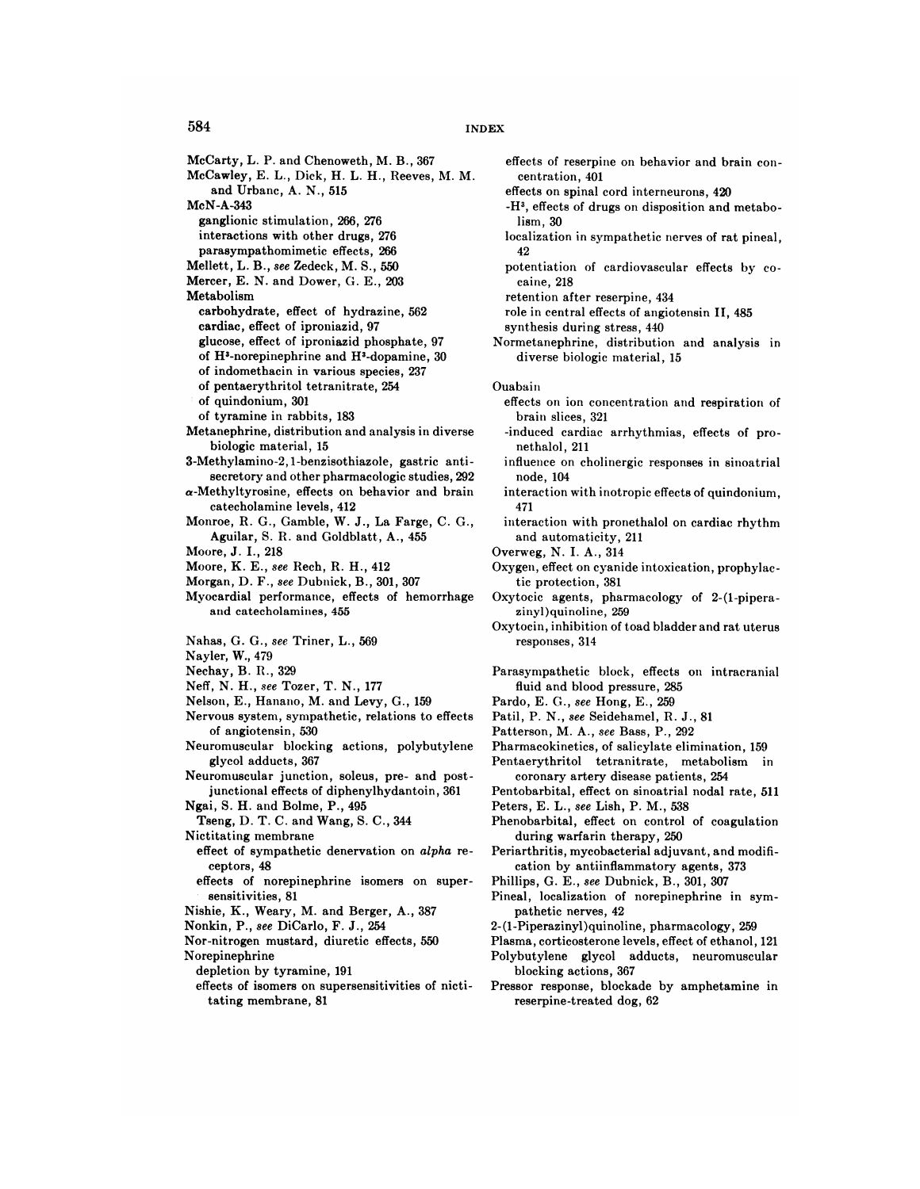McCarty, L. P. and Chenoweth, M. B., 367 McCawley, E. L., Dick, H. L. H., Reeves, M. M. and Urbanc, A. N., 515 McN-A-343 **ganglionic stimulation, 266, 276 interactions with other drugs, 276** parasympathomimetic effects, 266 **Mellett, L. B., see Zedeck, M. S., 550 Mercer, E. N. and Dower, G. E., 203 Metabolism carbohydrate, effect of hydrazine, 562 cardiac, effect of iproniazid, 97 glucose, effect of iproniazid phosphate, 97** of H'-norepinephrine and H'-dopamine, 30 of indomethacin in various species, 237 of pentaerythritol tetranitrate, 254 of quindonium, 301 of tyramine in rabbits, 183 Metanephrine, distribution and analysis in diverse **biologic material, 15** 3-Methylamino-2, 1-benzisothiazole, gastric anti **secretory and other pharmacologic studies, 292**  $\alpha$ -Methyltyrosine, effects on behavior and brain catecholamine levels, 412 Monroe, R. G., Gamble, W. J., La Farge, C. G., Aguilar, S. R. and Goldblatt, A., 455 Moore, J. I.,218 **Moore, K. E., see Rech, R. H., 412** Morgan, D. F., see Dubnick, B., 301, 307 Myocardial performance, effects of hemorrhage and catecholamines, 455 Nahas, G. G., see Triner, L., 569 Nayler, W., 479 Nechay, B. R., 329 Neff, N. H., see Tozer, T. N., 177 Nelson, E., Hanano, M. and Levy, G., 159 Nervous system, sympathetic, relations to effects of angiotensin, 530 Neuromuscular blocking actions, polybutylene glycol adducts, 367 Neuromuscular junction, soleus, pre- and post junctional effects of diphenylhydantoin, 361 **Ngai, S. H. and Bolme, P., 495 Tseng, D. T. C. and Wang, S. C., 344** Nictitating membrane **effect of sympathetic denervation on alpha re** ceptors, 48 effects of norepinephrine isomers on super sensitivities, 81 Nishie, K., Weary, M. and Berger, A., 387 Nonkin, P., see DiCarlo, F. J., 254 Nor-nitrogen mustard, diuretic effects, 550 Norepinephrine depletion by tyramine, 191 effects of isomers on supersensitivities of nicti tating membrane, 81

- effects of reserpine on behavior and brain con **centration, 401**
- effects on spinal cord interneurons, 420
- -H', effects of drugs on disposition and metabo lism, 30
- localization in sympathetic nerves of rat pineal, 42
- potentiation of cardiovascular effects by co caine, 218
- retention after reserpine, 434
- role in central effects of angiotensin II, 485
- synthesis during stress, 440 Normetanephrine, distribution and analysis in
- diverse biologic material, 15

Ouabain

- effects on ion concentration and respiration of brain slices, 321
- -induced cardiac arrhythmias, effects of pro nethalol, 211
- influence on cholinergic responses in sinoatrial node, 104
- interaction with inotropic effects of quindonium, 471
- interaction with pronethalol on cardiac rhythm and automaticity, 211

Overweg, N. I. A., 314

- Oxygen, effect on cyanide intoxication, prophylac tic protection, 381
- Oxytocic agents, pharmacology of 2-(1-pipera zinyl)quinoline, 259
- Oxytocin, inhibition of toad bladder and rat uterus responses, 314
- Parasympathetic block, effects on intracranial fluid and blood pressure, 285
- Pardo, E. G., see Hong, E., 259
- Patil, P. N., see Seidehamel, R. J., 81
- Patterson, M. A., see Bass, P., 292
- Pharmacokinetics, of salicylate elimination, 159
- Pentaerythritol tetranitrate, metabolism in coronary artery disease patients, 254
- Pentobarbital, effect on sinoatrial nodal rate, 511
- Peters, E. L., see Lish, P. M., 538
- Phenobarbital, effect on control of coagulation during warfarin therapy, 250
- Periarthritis, mycobacterial adjuvant, and modification by antiinflammatory agents, 373
- Phillips, G. E., see Dubnick, B., 301, 307
- Pineal, localization of norepinephrine in sym pathetic nerves, 42
- 2-(1-Piperazinyl)quinoline, pharmacology, 259
- Plasma, corticosterone levels, effect of ethanol, 121
- Polybutylene glycol adducts, neuromuscular blocking actions, 367
- Pressor response, blockade by amphetamine in reserpine-treated dog, 62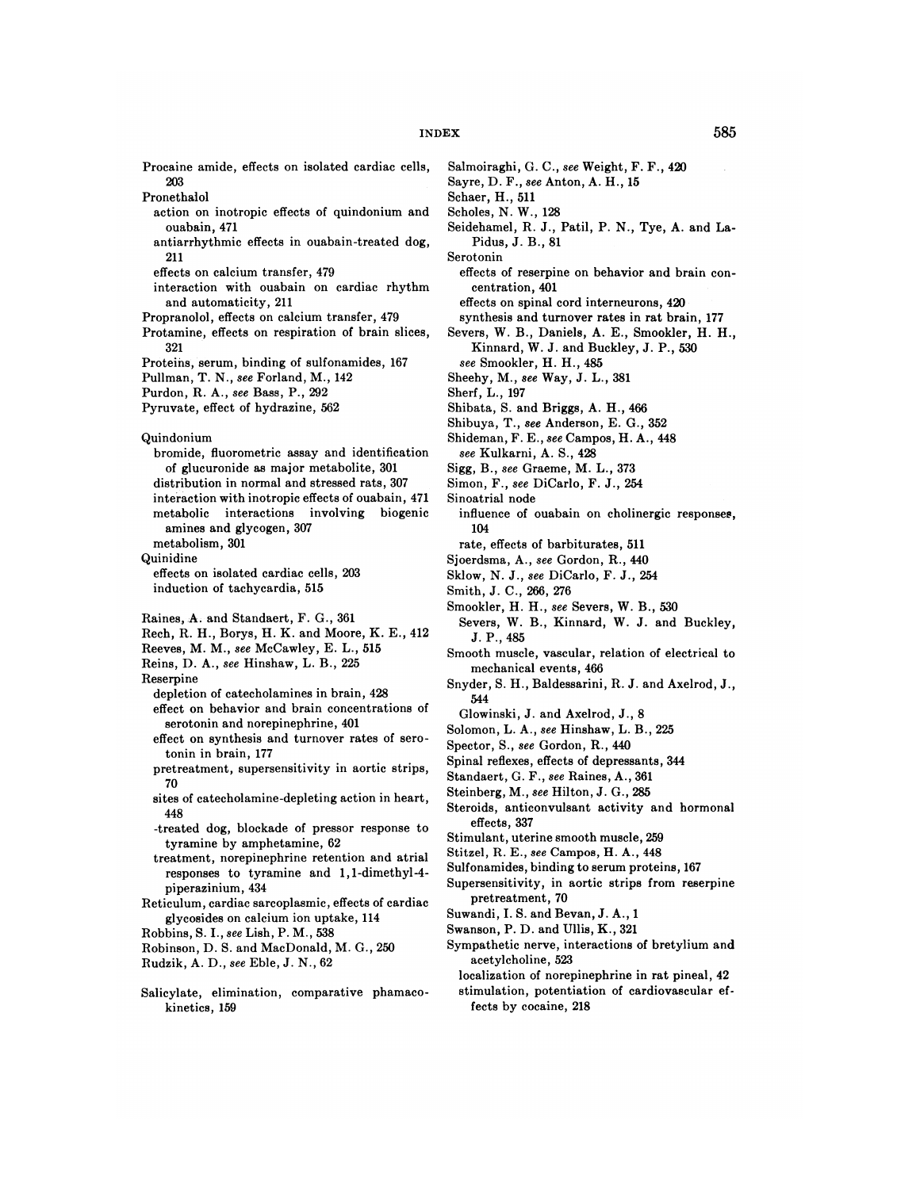Procaine amide, effects on isolated cardiac cells, 203

- Pronethalol
	- action on inotropic effects of quindonium and ouabain, 471
	- **antiarrhythmic effects in ouabain-treatcd dog,** 211
	- effects on calcium transfer,479
	- interaction with ouabain on cardiac rhythm and automaticity, 211
- Propranolol, effects on calcium transfer,479
- Protamine, effects on respiration of brain slices, 321
- Proteins, serum, binding of sulfonamides, 167
- Pullman, T. N., see Forland, M., 142
- Purdon, R. A., see Bass, P., 292
- Pyruvate, effect of hydrazine, 562
- **Quindonium**
- bromide, fluorometric assay and identification of glucuronide as major metabolite, 301 distribution in normal and stressed rats, 307 **interaction with inotropic effects of ouabain, 471** metabolic interactions involving biogenic amines and glycogen, 307 metabolism, 301
- Quinidine
- effects on isolated cardiac cells, 203 induction of tachycardia, 515
- Raines, A. and Standaert, F. G., 361
- Rech, R. H., Borys, H. K. and Moore, K. E., 412
- Reeves, M. M., see McCawley, E. L., 515
- Reins, D. A., see Hinshaw, L. B., 225
- Reserpine
	- depletion of catecholamines in brain, 428 effect on behavior and brain concentrations of serotonin and norepinephrine, 401
	- effect on synthesis and turnover rates of sero **tonin in brain, 177**
	- pretreatment, supersensitivity in aortic strips, 70
	- sites of catecholamine-depleting action in heart, 448
	- -treated dog, blockade of pressor response to tyramine by amphetamine, 62
	- treatment, norepinephrine retention and atrial **responses to tyramine and 1 , 1-dimethyl-4** piperazinium, 434
- Reticulum, cardiac sarcoplasmic, effects of cardiac glycosides on calcium ion uptake, 114
- Robbins, S. I., see Lish, P. M., 538
- Robinson, D. S. and MacDonald, M. G., 250
- Rudzik, A. D., see Eble, J. N., 62
- Salicylate, elimination, comparative phamacokinetics, 159
- Salmoiraghi, G. C., see Weight, F. F., 420
- Sayre, D. F., see Anton, A. H., 15
- Schaer, H., 511
- Scholes, N. W., 128
- Seidehamel, R. J., Patil, P. N., Tye, A. and La Pidus,J.B.,81
- Serotonin
- effects of reserpine on behavior and brain con **centration, 401**
- effects on spinal cord interneurons, 420
- synthesis and turnover rates in rat brain, 177 Severs, W. B., Daniels, A. E., Smookler, H. H., Kinnard, W. J. and Buckley, J. P., 530
- *see Smookler, H. H., 485*
- Sheehy, M., see Way, J. L., 381
- Sherf, L., 197
- Shibata, S. and Briggs, A. H., 466
- Shibuya, T., see Anderson, E. G., 352
- Shideman, F. E., see Campos, H. A., 448
- *see Kulkarni, A. S., 428*
- Sigg, B., see Graeme, M. L., 373
- Simon, F., see DiCarlo, F. J., 254
- Sinoatrial node
- **influence of ouabain on cholinergic responses,** 104
- rate, effects of barbiturates, 511
- Sjoerdsma, A., see Gordon, R., 440
- Skiow, N. J., see DiCarlo, F. J., 254
- Smith, J. C., 266, 276
- Smookler, H. H., see Severs, W. B., 530
- Severs, W. B., Kinnard, W. J. and Buckley, **J. P., 485**
- Smooth muscle, vascular, relation of electrical to mechanical events, 466
- Snyder, S. H., Baldessarini, R. J. and Axelrod, J., 544
- Glowinski, J. and Axelrod, J., 8
- Solomon, L. A., see Hinshaw, L. B., 225
- Spector, S., see Gordon, R., 440
- Spinal reflexes, effects of depressants, 344
- Standaert, G. F., see Raines, A., 361
- Steinberg, M., see Hilton, J. G., 285
- Steroids, anticonvulsant activity and hormonal **effects, 337**
- Stimulant, uterine smooth muscle, 259
- Stitzel, R. E., see Campos, H. A., 448
- Sulfonamides, binding to serum proteins,167
- Supersensitivity, in aortic strips from reserpine pretreatment, 70
- Suwandi, I. S. and Bevan, J. A., 1
- Swanson, P. D. and Ullis, K., 321
- Sympathetic nerve, interactions of bretylium and acetyicholine, 523
- localization of norepinephrine in rat pineal, 42 stimulation, potentiation of cardiovascular ef
- fects by cocaine, 218